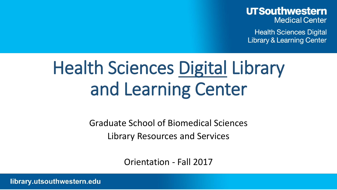### **UTSouthwestern Medical Center**

**Health Sciences Digital Library & Learning Center** 

## Health Sciences Digital Library and Learning Center

Graduate School of Biomedical Sciences Library Resources and Services

Orientation - Fall 2017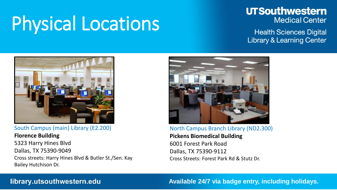## Physical Locations

### **UTSouthwestern Medical Center**

**Health Sciences Digital Library & Learning Center** 



#### South Campus (main) Library (E2.200)

**Florence Building** 5323 Harry Hines Blvd Dallas, TX 75390-9049 Cross streets: Harry Hines Blvd & Butler St./Sen. Kay Bailey Hutchison Dr.



#### North Campus Branch Library (ND2.300) **Pickens Biomedical Building** 6001 Forest Park Road Dallas, TX 75390-9112 Cross Streets: Forest Park Rd & Stutz Dr.

#### library.utsouthwestern.edu

#### **Available 24/7 via badge entry, including holidays.**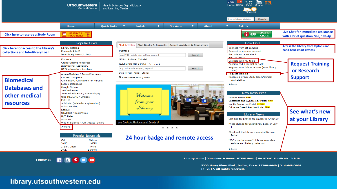

5323 Harry Hines Blvd., Dallas, Texas 75390-9049 | 214-648-2001 (c) 2017. All rights reserved.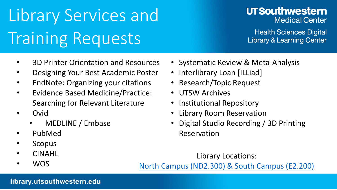## Library Services and Training Requests

## **UTSouthwestern Medical Center**

**Health Sciences Digital Library & Learning Center** 

- 3D Printer Orientation and Resources
- Designing Your Best Academic Poster
- EndNote: Organizing your citations
- Evidence Based Medicine/Practice: Searching for Relevant Literature
- Ovid
	- MEDLINE / Embase
- PubMed
- **Scopus**
- CINAHL
- WOS

[North Campus \(ND2.300\) & South Campus \(E2.200\)](http://library.utsouthwestern.edu/about/directions.cfm)

Library Locations:

- Systematic Review & Meta-Analysis
- Interlibrary Loan [ILLiad]
- Research/Topic Request
- UTSW Archives
- Institutional Repository
- Library Room Reservation
- Digital Studio Recording / 3D Printing Reservation